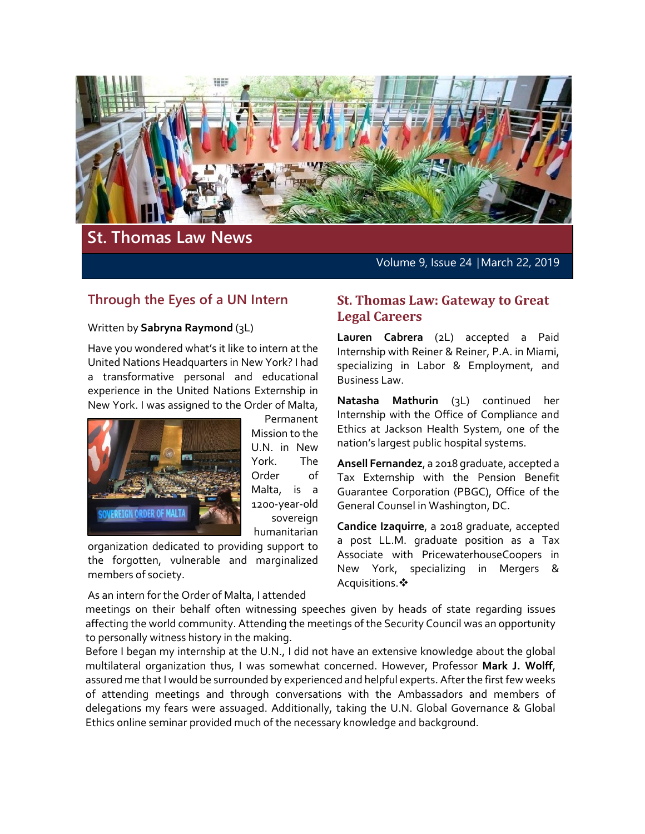

# **St. Thomas Law News**

Volume 9, Issue 24 │March 22, 2019

## **Through the Eyes of a UN Intern**

#### Written by **Sabryna Raymond** (3L)

Have you wondered what's it like to intern at the United Nations Headquarters in New York? I had a transformative personal and educational experience in the United Nations Externship in New York. I was assigned to the Order of Malta,



Permanent Mission to the U.N. in New York. The Order of Malta, is a 1200-year-old sovereign humanitarian

organization dedicated to providing support to the forgotten, vulnerable and marginalized members of society.

#### As an intern for the Order of Malta, I attended

#### **St. Thomas Law: Gateway to Great Legal Careers**

**Lauren Cabrera** (2L) accepted a Paid Internship with Reiner & Reiner, P.A. in Miami, specializing in Labor & Employment, and Business Law.

**Natasha Mathurin** (3L) continued her Internship with the Office of Compliance and Ethics at Jackson Health System, one of the nation's largest public hospital systems.

**Ansell Fernandez**, a 2018 graduate, accepted a Tax Externship with the Pension Benefit Guarantee Corporation (PBGC), Office of the General Counsel in Washington, DC.

**Candice Izaquirre**, a 2018 graduate, accepted a post LL.M. graduate position as a Tax Associate with PricewaterhouseCoopers in New York, specializing in Mergers & Acquisitions.

meetings on their behalf often witnessing speeches given by heads of state regarding issues affecting the world community. Attending the meetings of the Security Council was an opportunity to personally witness history in the making.

Before I began my internship at the U.N., I did not have an extensive knowledge about the global multilateral organization thus, I was somewhat concerned. However, Professor **Mark J. Wolff**, assured me that I would be surrounded by experienced and helpful experts. After the first few weeks of attending meetings and through conversations with the Ambassadors and members of delegations my fears were assuaged. Additionally, taking the U.N. Global Governance & Global Ethics online seminar provided much of the necessary knowledge and background.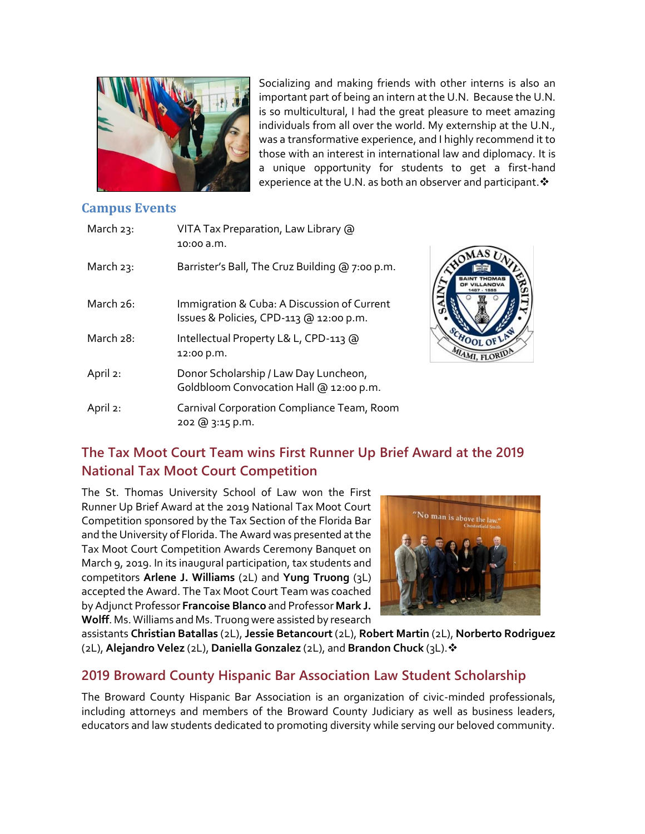

Socializing and making friends with other interns is also an important part of being an intern at the U.N. Because the U.N. is so multicultural, I had the great pleasure to meet amazing individuals from all over the world. My externship at the U.N., was a transformative experience, and I highly recommend it to those with an interest in international law and diplomacy. It is a unique opportunity for students to get a first-hand experience at the U.N. as both an observer and participant.  $\cdot$ 

#### **Campus Events**

| March 23:    | VITA Tax Preparation, Law Library @<br>10:00 a.m.                                      |
|--------------|----------------------------------------------------------------------------------------|
| March $23$ : | Barrister's Ball, The Cruz Building @ 7:00 p.m.                                        |
| March 26:    | Immigration & Cuba: A Discussion of Current<br>Issues & Policies, CPD-113 @ 12:00 p.m. |
| March 28:    | Intellectual Property L& L, CPD-113 @<br>12:00 p.m.                                    |
| April 2:     | Donor Scholarship / Law Day Luncheon,<br>Goldbloom Convocation Hall @ 12:00 p.m.       |
| April 2:     | Carnival Corporation Compliance Team, Room<br>202 @ 3:15 p.m.                          |



# **The Tax Moot Court Team wins First Runner Up Brief Award at the 2019 National Tax Moot Court Competition**

The St. Thomas University School of Law won the First Runner Up Brief Award at the 2019 National Tax Moot Court Competition sponsored by the Tax Section of the Florida Bar and the University of Florida. The Award was presented at the Tax Moot Court Competition Awards Ceremony Banquet on March 9, 2019. In its inaugural participation, tax students and competitors **Arlene J. Williams** (2L) and **Yung Truong** (3L) accepted the Award. The Tax Moot Court Team was coached by Adjunct Professor **Francoise Blanco** and Professor **Mark J. Wolff**. Ms. Williams and Ms. Truong were assisted by research



assistants **Christian Batallas** (2L), **Jessie Betancourt**(2L), **Robert Martin** (2L), **Norberto Rodriguez** (2L), **Alejandro Velez** (2L), **Daniella Gonzalez** (2L), and **Brandon Chuck** (3L).

## **2019 Broward County Hispanic Bar Association Law Student Scholarship**

The Broward County Hispanic Bar Association is an organization of civic-minded professionals, including attorneys and members of the Broward County Judiciary as well as business leaders, educators and law students dedicated to promoting diversity while serving our beloved community.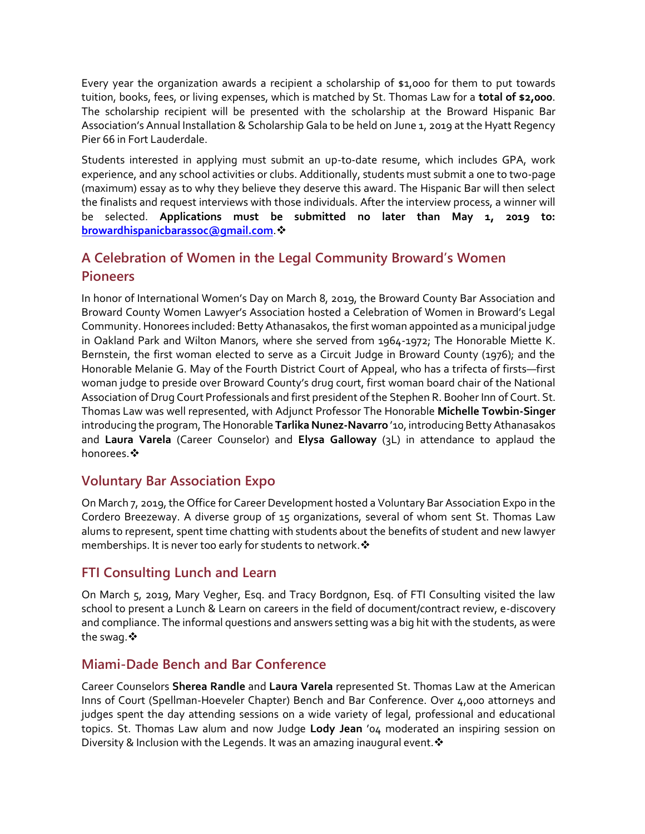Every year the organization awards a recipient a scholarship of \$1,000 for them to put towards tuition, books, fees, or living expenses, which is matched by St. Thomas Law for a **total of \$2,000**. The scholarship recipient will be presented with the scholarship at the Broward Hispanic Bar Association's Annual Installation & Scholarship Gala to be held on June 1, 2019 at the Hyatt Regency Pier 66 in Fort Lauderdale.

Students interested in applying must submit an up-to-date resume, which includes GPA, work experience, and any school activities or clubs. Additionally, students must submit a one to two-page (maximum) essay as to why they believe they deserve this award. The Hispanic Bar will then select the finalists and request interviews with those individuals. After the interview process, a winner will be selected. **Applications must be submitted no later than May 1, 2019 to: [browardhispanicbarassoc@gmail.com](mailto:browardhispanicbarassoc@gmail.com)**.

# **A Celebration of Women in the Legal Community Broward's Women Pioneers**

In honor of International Women's Day on March 8, 2019, the Broward County Bar Association and Broward County Women Lawyer's Association hosted a Celebration of Women in Broward's Legal Community. Honorees included: Betty Athanasakos, the first woman appointed as a municipal judge in Oakland Park and Wilton Manors, where she served from 1964-1972; The Honorable Miette K. Bernstein, the first woman elected to serve as a Circuit Judge in Broward County (1976); and the Honorable Melanie G. May of the Fourth District Court of Appeal, who has a trifecta of firsts—first woman judge to preside over Broward County's drug court, first woman board chair of the National Association of Drug Court Professionals and first president of the Stephen R. Booher Inn of Court. St. Thomas Law was well represented, with Adjunct Professor The Honorable **Michelle Towbin-Singer** introducing the program, The Honorable **Tarlika Nunez-Navarro** '10, introducing Betty Athanasakos and **Laura Varela** (Career Counselor) and **Elysa Galloway** (3L) in attendance to applaud the honorees. **※** 

## **Voluntary Bar Association Expo**

On March 7, 2019, the Office for Career Development hosted a Voluntary Bar Association Expo in the Cordero Breezeway. A diverse group of 15 organizations, several of whom sent St. Thomas Law alums to represent, spent time chatting with students about the benefits of student and new lawyer memberships. It is never too early for students to network. ❖

# **FTI Consulting Lunch and Learn**

On March 5, 2019, Mary Vegher, Esq. and Tracy Bordgnon, Esq. of FTI Consulting visited the law school to present a Lunch & Learn on careers in the field of document/contract review, e-discovery and compliance. The informal questions and answers setting was a big hit with the students, as were the swaq. ❖

#### **Miami-Dade Bench and Bar Conference**

Career Counselors **Sherea Randle** and **Laura Varela** represented St. Thomas Law at the American Inns of Court (Spellman-Hoeveler Chapter) Bench and Bar Conference. Over 4,000 attorneys and judges spent the day attending sessions on a wide variety of legal, professional and educational topics. St. Thomas Law alum and now Judge **Lody Jean** '04 moderated an inspiring session on Diversity & Inclusion with the Legends. It was an amazing inaugural event. ❖